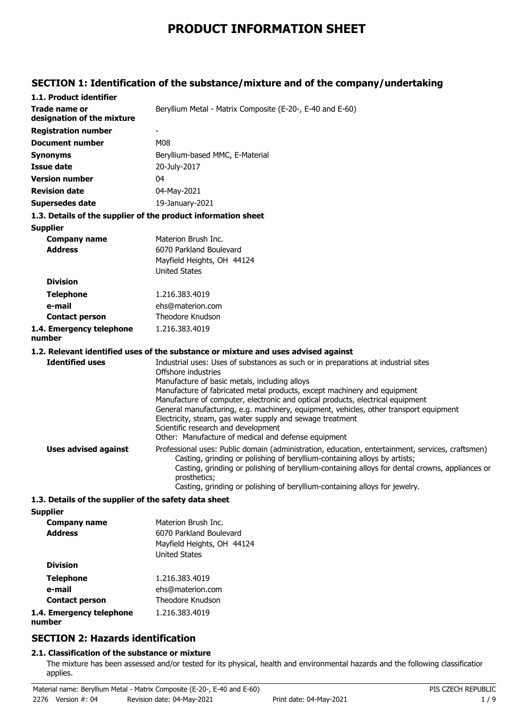# **PRODUCT INFORMATION SHEET**

## **SECTION 1: Identification of the substance/mixture and of the company/undertaking**

| 1.1. Product identifier                               |                                                                                                                                                                                                                                                                                                                                                                               |
|-------------------------------------------------------|-------------------------------------------------------------------------------------------------------------------------------------------------------------------------------------------------------------------------------------------------------------------------------------------------------------------------------------------------------------------------------|
| Trade name or<br>designation of the mixture           | Beryllium Metal - Matrix Composite (E-20-, E-40 and E-60)                                                                                                                                                                                                                                                                                                                     |
| <b>Registration number</b>                            |                                                                                                                                                                                                                                                                                                                                                                               |
| <b>Document number</b>                                | <b>M08</b>                                                                                                                                                                                                                                                                                                                                                                    |
| <b>Synonyms</b>                                       | Beryllium-based MMC, E-Material                                                                                                                                                                                                                                                                                                                                               |
| <b>Issue date</b>                                     | 20-July-2017                                                                                                                                                                                                                                                                                                                                                                  |
| <b>Version number</b>                                 | 04                                                                                                                                                                                                                                                                                                                                                                            |
| <b>Revision date</b>                                  | 04-May-2021                                                                                                                                                                                                                                                                                                                                                                   |
| Supersedes date                                       | 19-January-2021                                                                                                                                                                                                                                                                                                                                                               |
|                                                       | 1.3. Details of the supplier of the product information sheet                                                                                                                                                                                                                                                                                                                 |
| <b>Supplier</b>                                       |                                                                                                                                                                                                                                                                                                                                                                               |
| <b>Company name</b>                                   | Materion Brush Inc.                                                                                                                                                                                                                                                                                                                                                           |
| <b>Address</b>                                        | 6070 Parkland Boulevard                                                                                                                                                                                                                                                                                                                                                       |
|                                                       | Mayfield Heights, OH 44124                                                                                                                                                                                                                                                                                                                                                    |
|                                                       | <b>United States</b>                                                                                                                                                                                                                                                                                                                                                          |
| <b>Division</b>                                       |                                                                                                                                                                                                                                                                                                                                                                               |
| <b>Telephone</b>                                      | 1.216.383.4019                                                                                                                                                                                                                                                                                                                                                                |
| e-mail                                                | ehs@materion.com                                                                                                                                                                                                                                                                                                                                                              |
| <b>Contact person</b>                                 | Theodore Knudson                                                                                                                                                                                                                                                                                                                                                              |
| 1.4. Emergency telephone<br>number                    | 1.216.383.4019                                                                                                                                                                                                                                                                                                                                                                |
|                                                       | 1.2. Relevant identified uses of the substance or mixture and uses advised against                                                                                                                                                                                                                                                                                            |
| <b>Identified uses</b>                                | Industrial uses: Uses of substances as such or in preparations at industrial sites<br>Offshore industries                                                                                                                                                                                                                                                                     |
|                                                       | Manufacture of basic metals, including alloys<br>Manufacture of fabricated metal products, except machinery and equipment                                                                                                                                                                                                                                                     |
|                                                       | Manufacture of computer, electronic and optical products, electrical equipment                                                                                                                                                                                                                                                                                                |
|                                                       | General manufacturing, e.g. machinery, equipment, vehicles, other transport equipment<br>Electricity, steam, gas water supply and sewage treatment<br>Scientific research and development<br>Other: Manufacture of medical and defense equipment                                                                                                                              |
|                                                       |                                                                                                                                                                                                                                                                                                                                                                               |
| <b>Uses advised against</b>                           | Professional uses: Public domain (administration, education, entertainment, services, craftsmen)<br>Casting, grinding or polishing of beryllium-containing alloys by artists;<br>Casting, grinding or polishing of beryllium-containing alloys for dental crowns, appliances or<br>prosthetics;<br>Casting, grinding or polishing of beryllium-containing alloys for jewelry. |
| 1.3. Details of the supplier of the safety data sheet |                                                                                                                                                                                                                                                                                                                                                                               |
| <b>Supplier</b>                                       |                                                                                                                                                                                                                                                                                                                                                                               |
| Гамизин изма                                          | Materian Pruch Inc.                                                                                                                                                                                                                                                                                                                                                           |

| <b>Company name</b>                | Materion Brush Inc.        |
|------------------------------------|----------------------------|
| <b>Address</b>                     | 6070 Parkland Boulevard    |
|                                    | Mayfield Heights, OH 44124 |
|                                    | <b>United States</b>       |
| <b>Division</b>                    |                            |
| <b>Telephone</b>                   | 1.216.383.4019             |
| e-mail                             | ehs@materion.com           |
| <b>Contact person</b>              | Theodore Knudson           |
| 1.4. Emergency telephone<br>number | 1.216.383.4019             |

## **SECTION 2: Hazards identification**

## **2.1. Classification of the substance or mixture**

The mixture has been assessed and/or tested for its physical, health and environmental hazards and the following classification applies.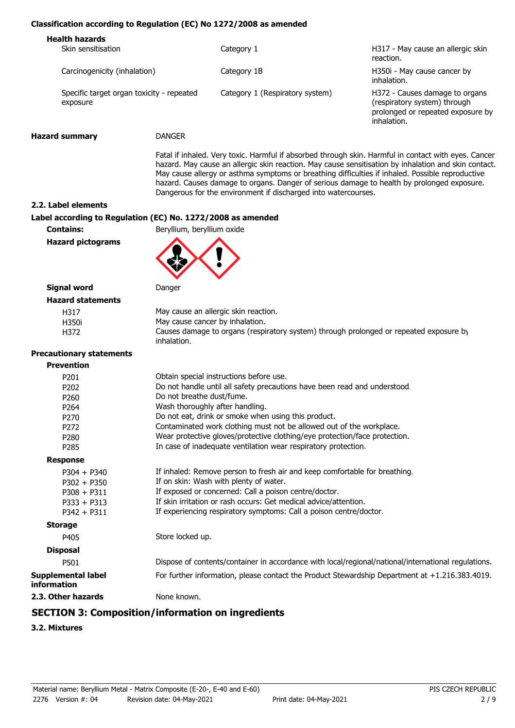#### **Classification according to Regulation (EC) No 1272/2008 as amended**

| <b>Health hazards</b><br>Skin sensitisation           | Category 1                      | H317 - May cause an allergic skin<br>reaction.                                                                     |
|-------------------------------------------------------|---------------------------------|--------------------------------------------------------------------------------------------------------------------|
| Carcinogenicity (inhalation)                          | Category 1B                     | H350i - May cause cancer by<br>inhalation.                                                                         |
| Specific target organ toxicity - repeated<br>exposure | Category 1 (Respiratory system) | H372 - Causes damage to organs<br>(respiratory system) through<br>prolonged or repeated exposure by<br>inhalation. |
|                                                       |                                 |                                                                                                                    |

**Hazard summary** DANGER

Fatal if inhaled. Very toxic. Harmful if absorbed through skin. Harmful in contact with eyes. Cancer hazard. May cause an allergic skin reaction. May cause sensitisation by inhalation and skin contact. May cause allergy or asthma symptoms or breathing difficulties if inhaled. Possible reproductive hazard. Causes damage to organs. Danger of serious damage to health by prolonged exposure. Dangerous for the environment if discharged into watercourses.

**2.2. Label elements**

#### **Label according to Regulation (EC) No. 1272/2008 as amended**

**Contains:** Beryllium, beryllium oxide

**Hazard pictograms**



#### **Signal word** Danger **Hazard statements**

| ---------------- |                                                                                                       |
|------------------|-------------------------------------------------------------------------------------------------------|
| H317             | May cause an allergic skin reaction.                                                                  |
| H350i            | May cause cancer by inhalation.                                                                       |
| H372             | Causes damage to organs (respiratory system) through prolonged or repeated exposure by<br>inhalation. |
|                  |                                                                                                       |

#### **Pre**

| Obtain special instructions before use.                                                             |
|-----------------------------------------------------------------------------------------------------|
| Do not handle until all safety precautions have been read and understood.                           |
| Do not breathe dust/fume.                                                                           |
| Wash thoroughly after handling.                                                                     |
| Do not eat, drink or smoke when using this product.                                                 |
| Contaminated work clothing must not be allowed out of the workplace.                                |
| Wear protective gloves/protective clothing/eye protection/face protection.                          |
| In case of inadequate ventilation wear respiratory protection.                                      |
|                                                                                                     |
| If inhaled: Remove person to fresh air and keep comfortable for breathing.                          |
| If on skin: Wash with plenty of water.                                                              |
| If exposed or concerned: Call a poison centre/doctor.                                               |
| If skin irritation or rash occurs: Get medical advice/attention.                                    |
| If experiencing respiratory symptoms: Call a poison centre/doctor.                                  |
|                                                                                                     |
| Store locked up.                                                                                    |
|                                                                                                     |
| Dispose of contents/container in accordance with local/regional/national/international regulations. |
| For further information, please contact the Product Stewardship Department at +1.216.383.4019.      |
| None known.                                                                                         |
|                                                                                                     |

## **SECTION 3: Composition/information on ingredients**

#### **3.2. Mixtures**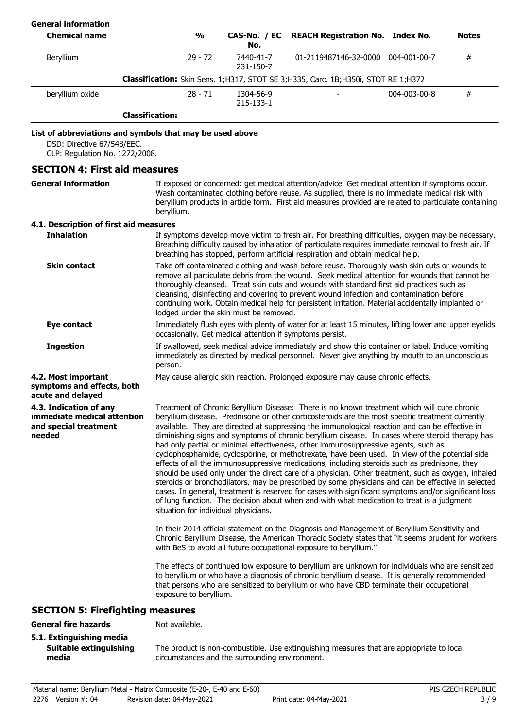| <b>General information</b>                                                                                               |                                      |                                                          |                                                                                                                                                                                                                                                                                                                                                                                                                                                                                                                                                                                                                                                                                                                                                                                                                                                                                                                                                                                                                                                                                                                                                                                                                                                                                                                                                                                                                                                                                                 |              |              |
|--------------------------------------------------------------------------------------------------------------------------|--------------------------------------|----------------------------------------------------------|-------------------------------------------------------------------------------------------------------------------------------------------------------------------------------------------------------------------------------------------------------------------------------------------------------------------------------------------------------------------------------------------------------------------------------------------------------------------------------------------------------------------------------------------------------------------------------------------------------------------------------------------------------------------------------------------------------------------------------------------------------------------------------------------------------------------------------------------------------------------------------------------------------------------------------------------------------------------------------------------------------------------------------------------------------------------------------------------------------------------------------------------------------------------------------------------------------------------------------------------------------------------------------------------------------------------------------------------------------------------------------------------------------------------------------------------------------------------------------------------------|--------------|--------------|
| <b>Chemical name</b>                                                                                                     | $\frac{0}{0}$                        | CAS-No. / EC<br>No.                                      | <b>REACH Registration No. Index No.</b>                                                                                                                                                                                                                                                                                                                                                                                                                                                                                                                                                                                                                                                                                                                                                                                                                                                                                                                                                                                                                                                                                                                                                                                                                                                                                                                                                                                                                                                         |              | <b>Notes</b> |
| Beryllium                                                                                                                | $29 - 72$                            | 7440-41-7<br>231-150-7                                   | 01-2119487146-32-0000 004-001-00-7                                                                                                                                                                                                                                                                                                                                                                                                                                                                                                                                                                                                                                                                                                                                                                                                                                                                                                                                                                                                                                                                                                                                                                                                                                                                                                                                                                                                                                                              |              | #            |
|                                                                                                                          |                                      |                                                          | Classification: Skin Sens. 1; H317, STOT SE 3; H335, Carc. 1B; H350i, STOT RE 1; H372                                                                                                                                                                                                                                                                                                                                                                                                                                                                                                                                                                                                                                                                                                                                                                                                                                                                                                                                                                                                                                                                                                                                                                                                                                                                                                                                                                                                           |              |              |
| beryllium oxide                                                                                                          | $28 - 71$                            | 1304-56-9<br>215-133-1                                   |                                                                                                                                                                                                                                                                                                                                                                                                                                                                                                                                                                                                                                                                                                                                                                                                                                                                                                                                                                                                                                                                                                                                                                                                                                                                                                                                                                                                                                                                                                 | 004-003-00-8 | $\#$         |
|                                                                                                                          | <b>Classification: -</b>             |                                                          |                                                                                                                                                                                                                                                                                                                                                                                                                                                                                                                                                                                                                                                                                                                                                                                                                                                                                                                                                                                                                                                                                                                                                                                                                                                                                                                                                                                                                                                                                                 |              |              |
| List of abbreviations and symbols that may be used above<br>DSD: Directive 67/548/EEC.<br>CLP: Regulation No. 1272/2008. |                                      |                                                          |                                                                                                                                                                                                                                                                                                                                                                                                                                                                                                                                                                                                                                                                                                                                                                                                                                                                                                                                                                                                                                                                                                                                                                                                                                                                                                                                                                                                                                                                                                 |              |              |
| <b>SECTION 4: First aid measures</b>                                                                                     |                                      |                                                          |                                                                                                                                                                                                                                                                                                                                                                                                                                                                                                                                                                                                                                                                                                                                                                                                                                                                                                                                                                                                                                                                                                                                                                                                                                                                                                                                                                                                                                                                                                 |              |              |
| <b>General information</b>                                                                                               | beryllium.                           |                                                          | If exposed or concerned: get medical attention/advice. Get medical attention if symptoms occur.<br>Wash contaminated clothing before reuse. As supplied, there is no immediate medical risk with<br>beryllium products in article form. First aid measures provided are related to particulate containing                                                                                                                                                                                                                                                                                                                                                                                                                                                                                                                                                                                                                                                                                                                                                                                                                                                                                                                                                                                                                                                                                                                                                                                       |              |              |
| 4.1. Description of first aid measures                                                                                   |                                      |                                                          |                                                                                                                                                                                                                                                                                                                                                                                                                                                                                                                                                                                                                                                                                                                                                                                                                                                                                                                                                                                                                                                                                                                                                                                                                                                                                                                                                                                                                                                                                                 |              |              |
| <b>Inhalation</b>                                                                                                        |                                      |                                                          | If symptoms develop move victim to fresh air. For breathing difficulties, oxygen may be necessary.<br>Breathing difficulty caused by inhalation of particulate requires immediate removal to fresh air. If<br>breathing has stopped, perform artificial respiration and obtain medical help.                                                                                                                                                                                                                                                                                                                                                                                                                                                                                                                                                                                                                                                                                                                                                                                                                                                                                                                                                                                                                                                                                                                                                                                                    |              |              |
| <b>Skin contact</b>                                                                                                      |                                      | lodged under the skin must be removed.                   | Take off contaminated clothing and wash before reuse. Thoroughly wash skin cuts or wounds to<br>remove all particulate debris from the wound. Seek medical attention for wounds that cannot be<br>thoroughly cleansed. Treat skin cuts and wounds with standard first aid practices such as<br>cleansing, disinfecting and covering to prevent wound infection and contamination before<br>continuing work. Obtain medical help for persistent irritation. Material accidentally implanted or                                                                                                                                                                                                                                                                                                                                                                                                                                                                                                                                                                                                                                                                                                                                                                                                                                                                                                                                                                                                   |              |              |
| <b>Eye contact</b>                                                                                                       |                                      | occasionally. Get medical attention if symptoms persist. | Immediately flush eyes with plenty of water for at least 15 minutes, lifting lower and upper eyelids                                                                                                                                                                                                                                                                                                                                                                                                                                                                                                                                                                                                                                                                                                                                                                                                                                                                                                                                                                                                                                                                                                                                                                                                                                                                                                                                                                                            |              |              |
| <b>Ingestion</b>                                                                                                         | person.                              |                                                          | If swallowed, seek medical advice immediately and show this container or label. Induce vomiting<br>immediately as directed by medical personnel. Never give anything by mouth to an unconscious                                                                                                                                                                                                                                                                                                                                                                                                                                                                                                                                                                                                                                                                                                                                                                                                                                                                                                                                                                                                                                                                                                                                                                                                                                                                                                 |              |              |
| 4.2. Most important<br>symptoms and effects, both<br>acute and delayed                                                   |                                      |                                                          | May cause allergic skin reaction. Prolonged exposure may cause chronic effects.                                                                                                                                                                                                                                                                                                                                                                                                                                                                                                                                                                                                                                                                                                                                                                                                                                                                                                                                                                                                                                                                                                                                                                                                                                                                                                                                                                                                                 |              |              |
| 4.3. Indication of any<br>immediate medical attention<br>and special treatment<br>needed                                 | situation for individual physicians. |                                                          | Treatment of Chronic Beryllium Disease: There is no known treatment which will cure chronic<br>beryllium disease. Prednisone or other corticosteroids are the most specific treatment currently<br>available. They are directed at suppressing the immunological reaction and can be effective in<br>diminishing signs and symptoms of chronic beryllium disease. In cases where steroid therapy has<br>had only partial or minimal effectiveness, other immunosuppressive agents, such as<br>cyclophosphamide, cyclosporine, or methotrexate, have been used. In view of the potential side<br>effects of all the immunosuppressive medications, including steroids such as prednisone, they<br>should be used only under the direct care of a physician. Other treatment, such as oxygen, inhaled<br>steroids or bronchodilators, may be prescribed by some physicians and can be effective in selected<br>cases. In general, treatment is reserved for cases with significant symptoms and/or significant loss<br>of lung function. The decision about when and with what medication to treat is a judgment<br>In their 2014 official statement on the Diagnosis and Management of Beryllium Sensitivity and<br>Chronic Beryllium Disease, the American Thoracic Society states that "it seems prudent for workers<br>with BeS to avoid all future occupational exposure to beryllium."<br>The effects of continued low exposure to beryllium are unknown for individuals who are sensitizec |              |              |
|                                                                                                                          | exposure to beryllium.               |                                                          | to beryllium or who have a diagnosis of chronic beryllium disease. It is generally recommended<br>that persons who are sensitized to beryllium or who have CBD terminate their occupational                                                                                                                                                                                                                                                                                                                                                                                                                                                                                                                                                                                                                                                                                                                                                                                                                                                                                                                                                                                                                                                                                                                                                                                                                                                                                                     |              |              |
| <b>SECTION 5: Firefighting measures</b>                                                                                  |                                      |                                                          |                                                                                                                                                                                                                                                                                                                                                                                                                                                                                                                                                                                                                                                                                                                                                                                                                                                                                                                                                                                                                                                                                                                                                                                                                                                                                                                                                                                                                                                                                                 |              |              |
| <b>General fire hazards</b><br>5.1. Extinguishing media                                                                  | Not available.                       |                                                          |                                                                                                                                                                                                                                                                                                                                                                                                                                                                                                                                                                                                                                                                                                                                                                                                                                                                                                                                                                                                                                                                                                                                                                                                                                                                                                                                                                                                                                                                                                 |              |              |

**5.1. Extinguishing media Suitable extinguishing media**

The product is non-combustible. Use extinguishing measures that are appropriate to local circumstances and the surrounding environment.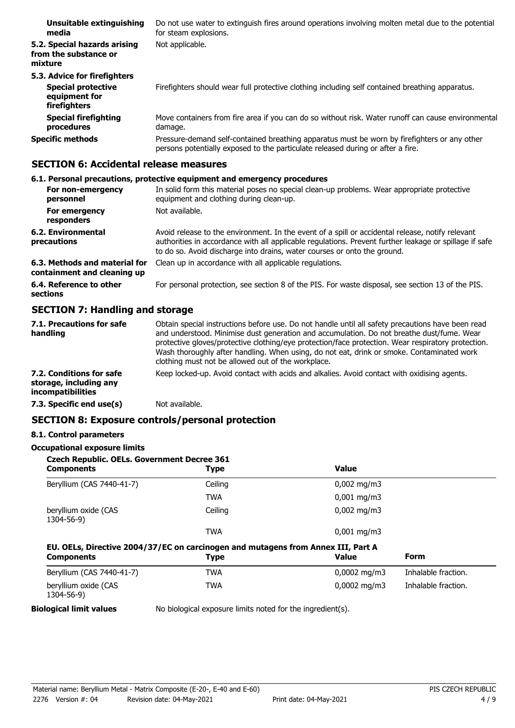| Unsuitable extinguishing<br>media                                                          | Do not use water to extinguish fires around operations involving molten metal due to the potential<br>for steam explosions.                                                     |
|--------------------------------------------------------------------------------------------|---------------------------------------------------------------------------------------------------------------------------------------------------------------------------------|
| 5.2. Special hazards arising<br>from the substance or<br>mixture                           | Not applicable.                                                                                                                                                                 |
| 5.3. Advice for firefighters<br><b>Special protective</b><br>equipment for<br>firefighters | Firefighters should wear full protective clothing including self contained breathing apparatus.                                                                                 |
| <b>Special firefighting</b><br>procedures                                                  | Move containers from fire area if you can do so without risk. Water runoff can cause environmental<br>damage.                                                                   |
| <b>Specific methods</b>                                                                    | Pressure-demand self-contained breathing apparatus must be worn by firefighters or any other<br>persons potentially exposed to the particulate released during or after a fire. |

## **SECTION 6: Accidental release measures**

## **6.1. Personal precautions, protective equipment and emergency procedures**

| For non-emergency<br>personnel                               | In solid form this material poses no special clean-up problems. Wear appropriate protective<br>equipment and clothing during clean-up.                                                                                                                                                 |
|--------------------------------------------------------------|----------------------------------------------------------------------------------------------------------------------------------------------------------------------------------------------------------------------------------------------------------------------------------------|
| For emergency<br>responders                                  | Not available.                                                                                                                                                                                                                                                                         |
| 6.2. Environmental<br>precautions                            | Avoid release to the environment. In the event of a spill or accidental release, notify relevant<br>authorities in accordance with all applicable regulations. Prevent further leakage or spillage if safe<br>to do so. Avoid discharge into drains, water courses or onto the ground. |
| 6.3. Methods and material for<br>containment and cleaning up | Clean up in accordance with all applicable regulations.                                                                                                                                                                                                                                |
| 6.4. Reference to other<br>sections                          | For personal protection, see section 8 of the PIS. For waste disposal, see section 13 of the PIS.                                                                                                                                                                                      |

## **SECTION 7: Handling and storage**

| 7.1. Precautions for safe<br>handling                                          | Obtain special instructions before use. Do not handle until all safety precautions have been read<br>and understood. Minimise dust generation and accumulation. Do not breathe dust/fume. Wear<br>protective gloves/protective clothing/eye protection/face protection. Wear respiratory protection.<br>Wash thoroughly after handling. When using, do not eat, drink or smoke. Contaminated work<br>clothing must not be allowed out of the workplace. |
|--------------------------------------------------------------------------------|---------------------------------------------------------------------------------------------------------------------------------------------------------------------------------------------------------------------------------------------------------------------------------------------------------------------------------------------------------------------------------------------------------------------------------------------------------|
| 7.2. Conditions for safe<br>storage, including any<br><i>incompatibilities</i> | Keep locked-up. Avoid contact with acids and alkalies. Avoid contact with oxidising agents.                                                                                                                                                                                                                                                                                                                                                             |
| 7.3. Specific end use(s)                                                       | Not available.                                                                                                                                                                                                                                                                                                                                                                                                                                          |

## **SECTION 8: Exposure controls/personal protection**

## **8.1. Control parameters**

#### **Occupational exposure limits**

| <b>Type</b> | <b>Value</b>                                       |                                                                                  |
|-------------|----------------------------------------------------|----------------------------------------------------------------------------------|
| Ceiling     | $0,002 \text{ mg/m}$                               |                                                                                  |
| <b>TWA</b>  | $0,001 \,\mathrm{mq/m}$                            |                                                                                  |
| Ceiling     | $0,002 \text{ mg/m}$                               |                                                                                  |
| <b>TWA</b>  | $0,001 \,\mathrm{mq/m}$                            |                                                                                  |
| <b>Type</b> | <b>Value</b>                                       | Form                                                                             |
| <b>TWA</b>  | $0,0002 \text{ mg/m}$                              | Inhalable fraction.                                                              |
| <b>TWA</b>  | $0,0002 \text{ mg/m}$                              | Inhalable fraction.                                                              |
|             | <b>Czech Republic. OELs. Government Decree 361</b> | EU. OELs, Directive 2004/37/EC on carcinogen and mutagens from Annex III, Part A |

**Biological limit values** No biological exposure limits noted for the ingredient(s).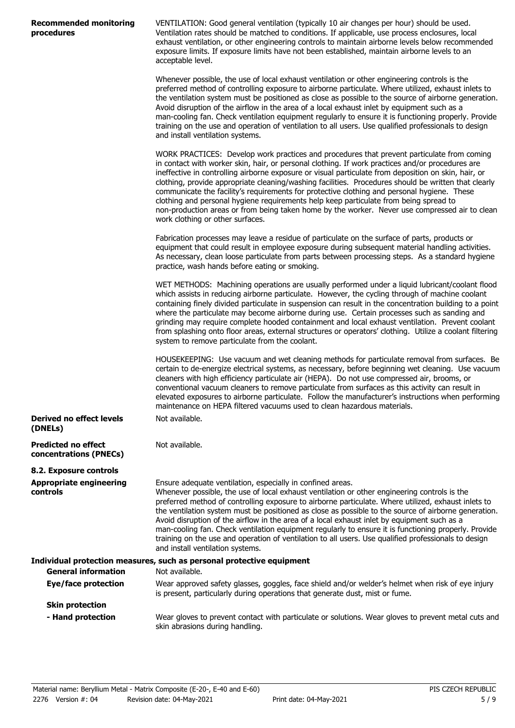| <b>Recommended monitoring</b> |  |
|-------------------------------|--|
| procedures                    |  |

**Derived no effect levels**

VENTILATION: Good general ventilation (typically 10 air changes per hour) should be used. Ventilation rates should be matched to conditions. If applicable, use process enclosures, local exhaust ventilation, or other engineering controls to maintain airborne levels below recommended exposure limits. If exposure limits have not been established, maintain airborne levels to an acceptable level.

Whenever possible, the use of local exhaust ventilation or other engineering controls is the preferred method of controlling exposure to airborne particulate. Where utilized, exhaust inlets to the ventilation system must be positioned as close as possible to the source of airborne generation. Avoid disruption of the airflow in the area of a local exhaust inlet by equipment such as a man-cooling fan. Check ventilation equipment regularly to ensure it is functioning properly. Provide training on the use and operation of ventilation to all users. Use qualified professionals to design and install ventilation systems.

WORK PRACTICES: Develop work practices and procedures that prevent particulate from coming in contact with worker skin, hair, or personal clothing. If work practices and/or procedures are ineffective in controlling airborne exposure or visual particulate from deposition on skin, hair, or clothing, provide appropriate cleaning/washing facilities. Procedures should be written that clearly communicate the facility's requirements for protective clothing and personal hygiene. These clothing and personal hygiene requirements help keep particulate from being spread to non-production areas or from being taken home by the worker. Never use compressed air to clean work clothing or other surfaces.

Fabrication processes may leave a residue of particulate on the surface of parts, products or equipment that could result in employee exposure during subsequent material handling activities. As necessary, clean loose particulate from parts between processing steps. As a standard hygiene practice, wash hands before eating or smoking.

WET METHODS: Machining operations are usually performed under a liquid lubricant/coolant flood which assists in reducing airborne particulate. However, the cycling through of machine coolant containing finely divided particulate in suspension can result in the concentration building to a point where the particulate may become airborne during use. Certain processes such as sanding and grinding may require complete hooded containment and local exhaust ventilation. Prevent coolant from splashing onto floor areas, external structures or operators' clothing. Utilize a coolant filtering system to remove particulate from the coolant.

HOUSEKEEPING: Use vacuum and wet cleaning methods for particulate removal from surfaces. Be certain to de-energize electrical systems, as necessary, before beginning wet cleaning. Use vacuum cleaners with high efficiency particulate air (HEPA). Do not use compressed air, brooms, or conventional vacuum cleaners to remove particulate from surfaces as this activity can result in elevated exposures to airborne particulate. Follow the manufacturer's instructions when performing maintenance on HEPA filtered vacuums used to clean hazardous materials. Not available.

| (DNELs)                                              |                                                                                                                                                                                                                                                                                                                                                                                                                                                                                                                                                                                                                                                                                                                              |
|------------------------------------------------------|------------------------------------------------------------------------------------------------------------------------------------------------------------------------------------------------------------------------------------------------------------------------------------------------------------------------------------------------------------------------------------------------------------------------------------------------------------------------------------------------------------------------------------------------------------------------------------------------------------------------------------------------------------------------------------------------------------------------------|
| <b>Predicted no effect</b><br>concentrations (PNECs) | Not available.                                                                                                                                                                                                                                                                                                                                                                                                                                                                                                                                                                                                                                                                                                               |
| 8.2. Exposure controls                               |                                                                                                                                                                                                                                                                                                                                                                                                                                                                                                                                                                                                                                                                                                                              |
| <b>Appropriate engineering</b><br><b>controls</b>    | Ensure adequate ventilation, especially in confined areas.<br>Whenever possible, the use of local exhaust ventilation or other engineering controls is the<br>preferred method of controlling exposure to airborne particulate. Where utilized, exhaust inlets to<br>the ventilation system must be positioned as close as possible to the source of airborne generation.<br>Avoid disruption of the airflow in the area of a local exhaust inlet by equipment such as a<br>man-cooling fan. Check ventilation equipment regularly to ensure it is functioning properly. Provide<br>training on the use and operation of ventilation to all users. Use qualified professionals to design<br>and install ventilation systems. |
|                                                      | Individual protection measures, such as personal protective equipment                                                                                                                                                                                                                                                                                                                                                                                                                                                                                                                                                                                                                                                        |
| <b>General information</b>                           | Not available.                                                                                                                                                                                                                                                                                                                                                                                                                                                                                                                                                                                                                                                                                                               |
| Eye/face protection                                  | Wear approved safety glasses, goggles, face shield and/or welder's helmet when risk of eye injury<br>is present, particularly during operations that generate dust, mist or fume.                                                                                                                                                                                                                                                                                                                                                                                                                                                                                                                                            |
| <b>Skin protection</b>                               |                                                                                                                                                                                                                                                                                                                                                                                                                                                                                                                                                                                                                                                                                                                              |
| - Hand protection                                    | Wear gloves to prevent contact with particulate or solutions. Wear gloves to prevent metal cuts and<br>skin abrasions during handling.                                                                                                                                                                                                                                                                                                                                                                                                                                                                                                                                                                                       |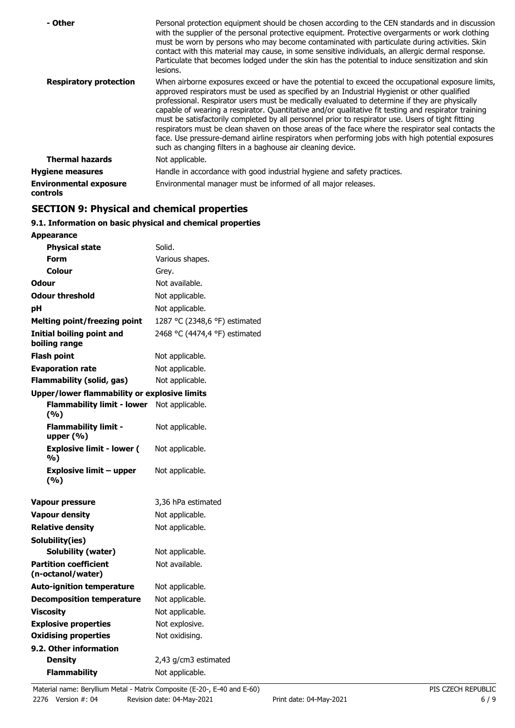| - Other                                   | Personal protection equipment should be chosen according to the CEN standards and in discussion<br>with the supplier of the personal protective equipment. Protective overgarments or work clothing<br>must be worn by persons who may become contaminated with particulate during activities. Skin<br>contact with this material may cause, in some sensitive individuals, an allergic dermal response.<br>Particulate that becomes lodged under the skin has the potential to induce sensitization and skin<br>lesions.                                                                                                                                                                                                                                                                |
|-------------------------------------------|------------------------------------------------------------------------------------------------------------------------------------------------------------------------------------------------------------------------------------------------------------------------------------------------------------------------------------------------------------------------------------------------------------------------------------------------------------------------------------------------------------------------------------------------------------------------------------------------------------------------------------------------------------------------------------------------------------------------------------------------------------------------------------------|
| <b>Respiratory protection</b>             | When airborne exposures exceed or have the potential to exceed the occupational exposure limits,<br>approved respirators must be used as specified by an Industrial Hygienist or other qualified<br>professional. Respirator users must be medically evaluated to determine if they are physically<br>capable of wearing a respirator. Quantitative and/or qualitative fit testing and respirator training<br>must be satisfactorily completed by all personnel prior to respirator use. Users of tight fitting<br>respirators must be clean shaven on those areas of the face where the respirator seal contacts the<br>face. Use pressure-demand airline respirators when performing jobs with high potential exposures<br>such as changing filters in a baghouse air cleaning device. |
| <b>Thermal hazards</b>                    | Not applicable.                                                                                                                                                                                                                                                                                                                                                                                                                                                                                                                                                                                                                                                                                                                                                                          |
| <b>Hygiene measures</b>                   | Handle in accordance with good industrial hygiene and safety practices.                                                                                                                                                                                                                                                                                                                                                                                                                                                                                                                                                                                                                                                                                                                  |
| <b>Environmental exposure</b><br>controls | Environmental manager must be informed of all major releases.                                                                                                                                                                                                                                                                                                                                                                                                                                                                                                                                                                                                                                                                                                                            |

## **SECTION 9: Physical and chemical properties**

## **9.1. Information on basic physical and chemical properties**

| <b>Appearance</b>                                   |                               |
|-----------------------------------------------------|-------------------------------|
| <b>Physical state</b>                               | Solid.                        |
| Form                                                | Various shapes.               |
| Colour                                              | Grey.                         |
| Odour                                               | Not available.                |
| <b>Odour threshold</b>                              | Not applicable.               |
| рH                                                  | Not applicable.               |
| <b>Melting point/freezing point</b>                 | 1287 °C (2348,6 °F) estimated |
| <b>Initial boiling point and</b><br>boiling range   | 2468 °C (4474,4 °F) estimated |
| Flash point                                         | Not applicable.               |
| <b>Evaporation rate</b>                             | Not applicable.               |
| <b>Flammability (solid, gas)</b>                    | Not applicable.               |
| <b>Upper/lower flammability or explosive limits</b> |                               |
| <b>Flammability limit - lower</b><br>(%)            | Not applicable.               |
| <b>Flammability limit -</b><br>upper $(% )$         | Not applicable.               |
| <b>Explosive limit - lower (</b><br>%)              | Not applicable.               |
| <b>Explosive limit - upper</b><br>(%)               | Not applicable.               |
| Vapour pressure                                     | 3,36 hPa estimated            |
| <b>Vapour density</b>                               | Not applicable.               |
| <b>Relative density</b>                             | Not applicable.               |
| Solubility(ies)                                     |                               |
| Solubility (water)                                  | Not applicable.               |
| <b>Partition coefficient</b><br>(n-octanol/water)   | Not available.                |
| <b>Auto-ignition temperature</b>                    | Not applicable.               |
| <b>Decomposition temperature</b>                    | Not applicable.               |
| <b>Viscosity</b>                                    | Not applicable.               |
| <b>Explosive properties</b>                         | Not explosive.                |
| <b>Oxidising properties</b>                         | Not oxidising.                |
| 9.2. Other information                              |                               |
| Density                                             | 2,43 g/cm3 estimated          |
| <b>Flammability</b>                                 | Not applicable.               |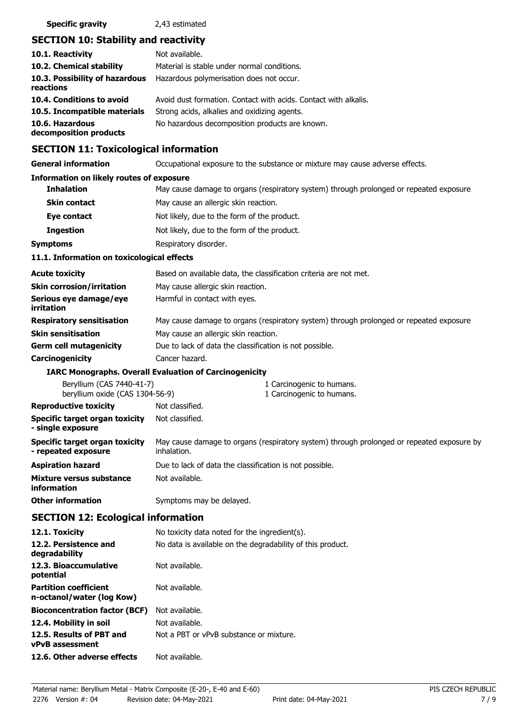## **SECTION 10: Stability and reactivity**

| 10.1. Reactivity                            | Not available.                                                  |
|---------------------------------------------|-----------------------------------------------------------------|
| 10.2. Chemical stability                    | Material is stable under normal conditions.                     |
| 10.3. Possibility of hazardous<br>reactions | Hazardous polymerisation does not occur.                        |
| 10.4. Conditions to avoid                   | Avoid dust formation. Contact with acids. Contact with alkalis. |
| 10.5. Incompatible materials                | Strong acids, alkalies and oxidizing agents.                    |
| 10.6. Hazardous<br>decomposition products   | No hazardous decomposition products are known.                  |

## **SECTION 11: Toxicological information**

**General information CCCUPATION** Occupational exposure to the substance or mixture may cause adverse effects.

## **Information on likely routes of exposure**

| <b>INTERNATIONAL CONTROLS TO CAPOSULE</b>                    |                                                                                                          |
|--------------------------------------------------------------|----------------------------------------------------------------------------------------------------------|
| <b>Inhalation</b>                                            | May cause damage to organs (respiratory system) through prolonged or repeated exposure.                  |
| <b>Skin contact</b>                                          | May cause an allergic skin reaction.                                                                     |
| Eye contact                                                  | Not likely, due to the form of the product.                                                              |
| <b>Ingestion</b>                                             | Not likely, due to the form of the product.                                                              |
| <b>Symptoms</b>                                              | Respiratory disorder.                                                                                    |
| 11.1. Information on toxicological effects                   |                                                                                                          |
| <b>Acute toxicity</b>                                        | Based on available data, the classification criteria are not met.                                        |
| <b>Skin corrosion/irritation</b>                             | May cause allergic skin reaction.                                                                        |
| Serious eye damage/eye<br>irritation                         | Harmful in contact with eyes.                                                                            |
| <b>Respiratory sensitisation</b>                             | May cause damage to organs (respiratory system) through prolonged or repeated exposure.                  |
| <b>Skin sensitisation</b>                                    | May cause an allergic skin reaction.                                                                     |
| <b>Germ cell mutagenicity</b>                                | Due to lack of data the classification is not possible.                                                  |
| Carcinogenicity                                              | Cancer hazard.                                                                                           |
|                                                              | <b>IARC Monographs. Overall Evaluation of Carcinogenicity</b>                                            |
| Beryllium (CAS 7440-41-7)<br>beryllium oxide (CAS 1304-56-9) | 1 Carcinogenic to humans.<br>1 Carcinogenic to humans.                                                   |
| <b>Reproductive toxicity</b>                                 | Not classified.                                                                                          |
| Specific target organ toxicity<br>- single exposure          | Not classified.                                                                                          |
| Specific target organ toxicity<br>- repeated exposure        | May cause damage to organs (respiratory system) through prolonged or repeated exposure by<br>inhalation. |
| <b>Aspiration hazard</b>                                     | Due to lack of data the classification is not possible.                                                  |
| Mixture versus substance<br>information                      | Not available.                                                                                           |
| <b>Other information</b>                                     | Symptoms may be delayed.                                                                                 |
| SECTION 12: Ecological information                           |                                                                                                          |

#### **SECTION 12: Ecological information 12.1. Toxicity** No toxicity data noted for the ingredient(s).

| <b>TATE LOXICITA</b>                                      | NO LOXICILY Gala Hoted for the ingredient(S).              |
|-----------------------------------------------------------|------------------------------------------------------------|
| 12.2. Persistence and<br>degradability                    | No data is available on the degradability of this product. |
| 12.3. Bioaccumulative<br>potential                        | Not available.                                             |
| <b>Partition coefficient</b><br>n-octanol/water (log Kow) | Not available.                                             |
| <b>Bioconcentration factor (BCF)</b>                      | Not available.                                             |
| 12.4. Mobility in soil                                    | Not available.                                             |
| 12.5. Results of PBT and<br><b>vPvB</b> assessment        | Not a PBT or vPvB substance or mixture.                    |
| 12.6. Other adverse effects                               | Not available.                                             |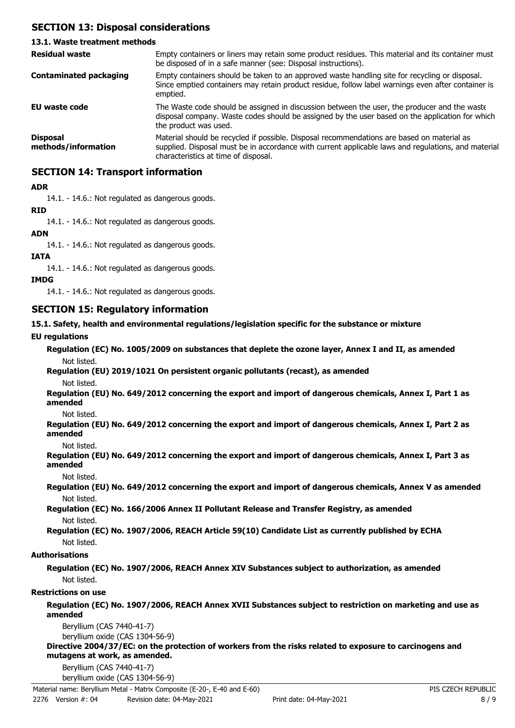## **SECTION 13: Disposal considerations**

## **13.1. Waste treatment methods**

| <b>Residual waste</b>                  | Empty containers or liners may retain some product residues. This material and its container must<br>be disposed of in a safe manner (see: Disposal instructions).                                                                        |
|----------------------------------------|-------------------------------------------------------------------------------------------------------------------------------------------------------------------------------------------------------------------------------------------|
| <b>Contaminated packaging</b>          | Empty containers should be taken to an approved waste handling site for recycling or disposal.<br>Since emptied containers may retain product residue, follow label warnings even after container is<br>emptied.                          |
| EU waste code                          | The Waste code should be assigned in discussion between the user, the producer and the waste<br>disposal company. Waste codes should be assigned by the user based on the application for which<br>the product was used.                  |
| <b>Disposal</b><br>methods/information | Material should be recycled if possible. Disposal recommendations are based on material as<br>supplied. Disposal must be in accordance with current applicable laws and regulations, and material<br>characteristics at time of disposal. |

## **SECTION 14: Transport information**

## **ADR**

14.1. - 14.6.: Not regulated as dangerous goods.

## **RID**

14.1. - 14.6.: Not regulated as dangerous goods.

## **ADN**

14.1. - 14.6.: Not regulated as dangerous goods.

## **IATA**

14.1. - 14.6.: Not regulated as dangerous goods.

## **IMDG**

14.1. - 14.6.: Not regulated as dangerous goods.

## **SECTION 15: Regulatory information**

## **15.1. Safety, health and environmental regulations/legislation specific for the substance or mixture**

## **EU regulations**

|             | Regulation (EC) No. 1005/2009 on substances that deplete the ozone layer, Annex I and II, as amended |  |
|-------------|------------------------------------------------------------------------------------------------------|--|
| Not listed. |                                                                                                      |  |

# **Regulation (EU) 2019/1021 On persistent organic pollutants (recast), as amended**

Not listed.

**Regulation (EU) No. 649/2012 concerning the export and import of dangerous chemicals, Annex I, Part 1 as amended**

Not listed.

**Regulation (EU) No. 649/2012 concerning the export and import of dangerous chemicals, Annex I, Part 2 as amended**

Not listed.

**Regulation (EU) No. 649/2012 concerning the export and import of dangerous chemicals, Annex I, Part 3 as amended**

Not listed.

**Regulation (EU) No. 649/2012 concerning the export and import of dangerous chemicals, Annex V as amended** Not listed.

**Regulation (EC) No. 166/2006 Annex II Pollutant Release and Transfer Registry, as amended** Not listed.

**Regulation (EC) No. 1907/2006, REACH Article 59(10) Candidate List as currently published by ECHA** Not listed.

## **Authorisations**

**Regulation (EC) No. 1907/2006, REACH Annex XIV Substances subject to authorization, as amended** Not listed.

## **Restrictions on use**

## **Regulation (EC) No. 1907/2006, REACH Annex XVII Substances subject to restriction on marketing and use as amended**

Beryllium (CAS 7440-41-7) beryllium oxide (CAS 1304-56-9)

**Directive 2004/37/EC: on the protection of workers from the risks related to exposure to carcinogens and mutagens at work, as amended.**

Beryllium (CAS 7440-41-7)

beryllium oxide (CAS 1304-56-9)